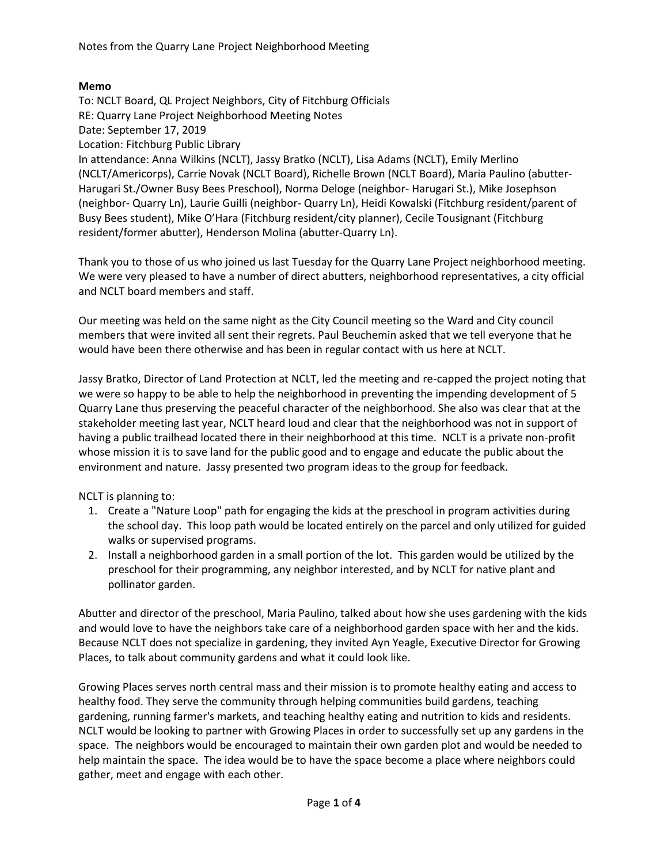## **Memo**

To: NCLT Board, QL Project Neighbors, City of Fitchburg Officials RE: Quarry Lane Project Neighborhood Meeting Notes Date: September 17, 2019 Location: Fitchburg Public Library In attendance: Anna Wilkins (NCLT), Jassy Bratko (NCLT), Lisa Adams (NCLT), Emily Merlino (NCLT/Americorps), Carrie Novak (NCLT Board), Richelle Brown (NCLT Board), Maria Paulino (abutter-Harugari St./Owner Busy Bees Preschool), Norma Deloge (neighbor- Harugari St.), Mike Josephson (neighbor- Quarry Ln), Laurie Guilli (neighbor- Quarry Ln), Heidi Kowalski (Fitchburg resident/parent of Busy Bees student), Mike O'Hara (Fitchburg resident/city planner), Cecile Tousignant (Fitchburg resident/former abutter), Henderson Molina (abutter-Quarry Ln).

Thank you to those of us who joined us last Tuesday for the Quarry Lane Project neighborhood meeting. We were very pleased to have a number of direct abutters, neighborhood representatives, a city official and NCLT board members and staff.

Our meeting was held on the same night as the City Council meeting so the Ward and City council members that were invited all sent their regrets. Paul Beuchemin asked that we tell everyone that he would have been there otherwise and has been in regular contact with us here at NCLT.

Jassy Bratko, Director of Land Protection at NCLT, led the meeting and re-capped the project noting that we were so happy to be able to help the neighborhood in preventing the impending development of 5 Quarry Lane thus preserving the peaceful character of the neighborhood. She also was clear that at the stakeholder meeting last year, NCLT heard loud and clear that the neighborhood was not in support of having a public trailhead located there in their neighborhood at this time. NCLT is a private non-profit whose mission it is to save land for the public good and to engage and educate the public about the environment and nature. Jassy presented two program ideas to the group for feedback.

NCLT is planning to:

- 1. Create a "Nature Loop" path for engaging the kids at the preschool in program activities during the school day. This loop path would be located entirely on the parcel and only utilized for guided walks or supervised programs.
- 2. Install a neighborhood garden in a small portion of the lot. This garden would be utilized by the preschool for their programming, any neighbor interested, and by NCLT for native plant and pollinator garden.

Abutter and director of the preschool, Maria Paulino, talked about how she uses gardening with the kids and would love to have the neighbors take care of a neighborhood garden space with her and the kids. Because NCLT does not specialize in gardening, they invited Ayn Yeagle, Executive Director for Growing Places, to talk about community gardens and what it could look like.

Growing Places serves north central mass and their mission is to promote healthy eating and access to healthy food. They serve the community through helping communities build gardens, teaching gardening, running farmer's markets, and teaching healthy eating and nutrition to kids and residents. NCLT would be looking to partner with Growing Places in order to successfully set up any gardens in the space. The neighbors would be encouraged to maintain their own garden plot and would be needed to help maintain the space. The idea would be to have the space become a place where neighbors could gather, meet and engage with each other.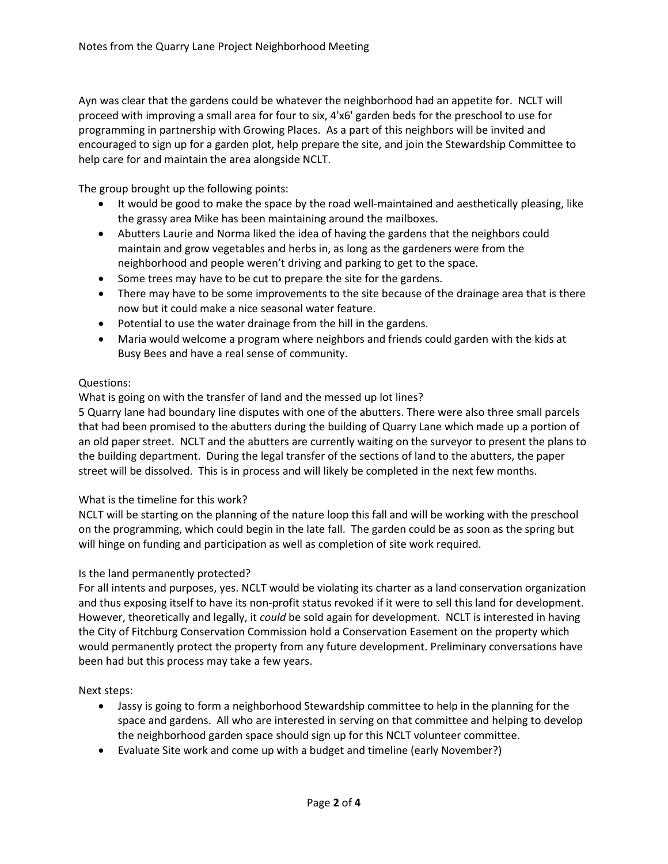Ayn was clear that the gardens could be whatever the neighborhood had an appetite for. NCLT will proceed with improving a small area for four to six, 4'x6' garden beds for the preschool to use for programming in partnership with Growing Places. As a part of this neighbors will be invited and encouraged to sign up for a garden plot, help prepare the site, and join the Stewardship Committee to help care for and maintain the area alongside NCLT.

The group brought up the following points:

- It would be good to make the space by the road well-maintained and aesthetically pleasing, like the grassy area Mike has been maintaining around the mailboxes.
- Abutters Laurie and Norma liked the idea of having the gardens that the neighbors could maintain and grow vegetables and herbs in, as long as the gardeners were from the neighborhood and people weren't driving and parking to get to the space.
- Some trees may have to be cut to prepare the site for the gardens.
- There may have to be some improvements to the site because of the drainage area that is there now but it could make a nice seasonal water feature.
- Potential to use the water drainage from the hill in the gardens.
- Maria would welcome a program where neighbors and friends could garden with the kids at Busy Bees and have a real sense of community.

## Questions:

What is going on with the transfer of land and the messed up lot lines?

5 Quarry lane had boundary line disputes with one of the abutters. There were also three small parcels that had been promised to the abutters during the building of Quarry Lane which made up a portion of an old paper street. NCLT and the abutters are currently waiting on the surveyor to present the plans to the building department. During the legal transfer of the sections of land to the abutters, the paper street will be dissolved. This is in process and will likely be completed in the next few months.

## What is the timeline for this work?

NCLT will be starting on the planning of the nature loop this fall and will be working with the preschool on the programming, which could begin in the late fall. The garden could be as soon as the spring but will hinge on funding and participation as well as completion of site work required.

## Is the land permanently protected?

For all intents and purposes, yes. NCLT would be violating its charter as a land conservation organization and thus exposing itself to have its non-profit status revoked if it were to sell this land for development. However, theoretically and legally, it *could* be sold again for development. NCLT is interested in having the City of Fitchburg Conservation Commission hold a Conservation Easement on the property which would permanently protect the property from any future development. Preliminary conversations have been had but this process may take a few years.

Next steps:

- Jassy is going to form a neighborhood Stewardship committee to help in the planning for the space and gardens. All who are interested in serving on that committee and helping to develop the neighborhood garden space should sign up for this NCLT volunteer committee.
- Evaluate Site work and come up with a budget and timeline (early November?)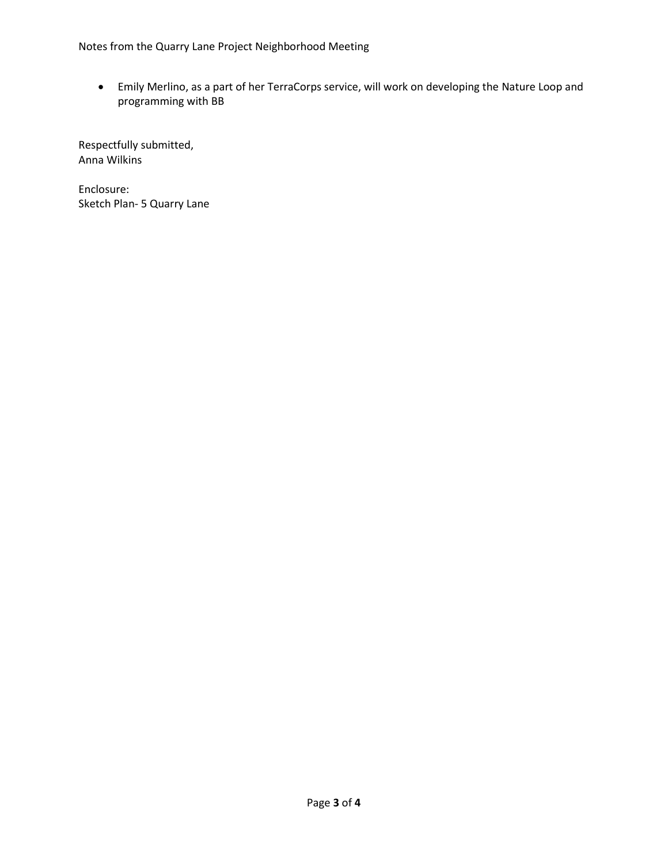Notes from the Quarry Lane Project Neighborhood Meeting

• Emily Merlino, as a part of her TerraCorps service, will work on developing the Nature Loop and programming with BB

Respectfully submitted, Anna Wilkins

Enclosure: Sketch Plan- 5 Quarry Lane